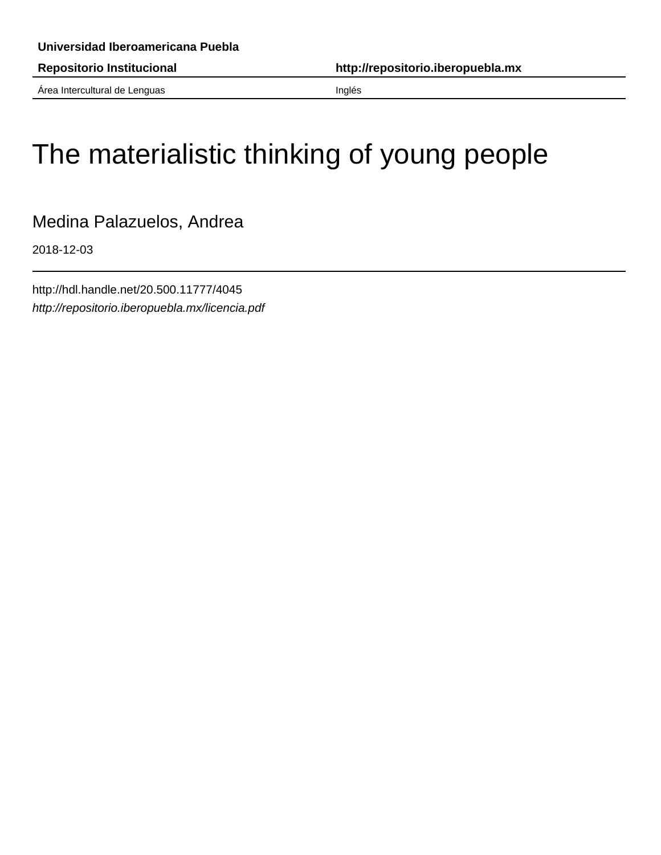Área Intercultural de Lenguas **Inglés** 

## The materialistic thinking of young people

Medina Palazuelos, Andrea

2018-12-03

http://hdl.handle.net/20.500.11777/4045 http://repositorio.iberopuebla.mx/licencia.pdf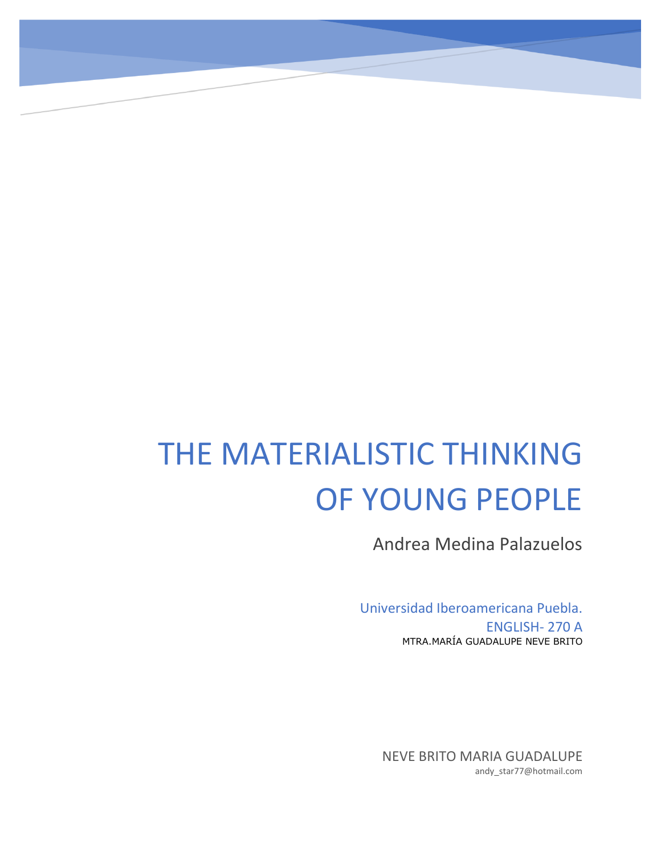# THE MATERIALISTIC THINKING OF YOUNG PEOPLE

Andrea Medina Palazuelos

Universidad Iberoamericana Puebla. ENGLISH- 270 A MTRA.MARÍA GUADALUPE NEVE BRITO

NEVE BRITO MARIA GUADALUPE andy\_star77@hotmail.com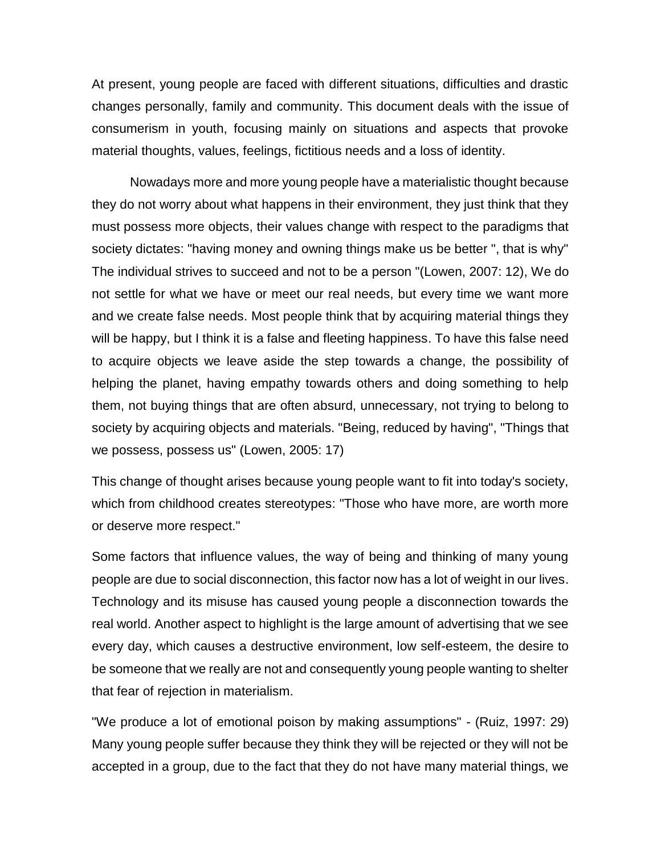At present, young people are faced with different situations, difficulties and drastic changes personally, family and community. This document deals with the issue of consumerism in youth, focusing mainly on situations and aspects that provoke material thoughts, values, feelings, fictitious needs and a loss of identity.

Nowadays more and more young people have a materialistic thought because they do not worry about what happens in their environment, they just think that they must possess more objects, their values change with respect to the paradigms that society dictates: "having money and owning things make us be better ", that is why" The individual strives to succeed and not to be a person "(Lowen, 2007: 12), We do not settle for what we have or meet our real needs, but every time we want more and we create false needs. Most people think that by acquiring material things they will be happy, but I think it is a false and fleeting happiness. To have this false need to acquire objects we leave aside the step towards a change, the possibility of helping the planet, having empathy towards others and doing something to help them, not buying things that are often absurd, unnecessary, not trying to belong to society by acquiring objects and materials. "Being, reduced by having", "Things that we possess, possess us" (Lowen, 2005: 17)

This change of thought arises because young people want to fit into today's society, which from childhood creates stereotypes: "Those who have more, are worth more or deserve more respect."

Some factors that influence values, the way of being and thinking of many young people are due to social disconnection, this factor now has a lot of weight in our lives. Technology and its misuse has caused young people a disconnection towards the real world. Another aspect to highlight is the large amount of advertising that we see every day, which causes a destructive environment, low self-esteem, the desire to be someone that we really are not and consequently young people wanting to shelter that fear of rejection in materialism.

"We produce a lot of emotional poison by making assumptions" - (Ruiz, 1997: 29) Many young people suffer because they think they will be rejected or they will not be accepted in a group, due to the fact that they do not have many material things, we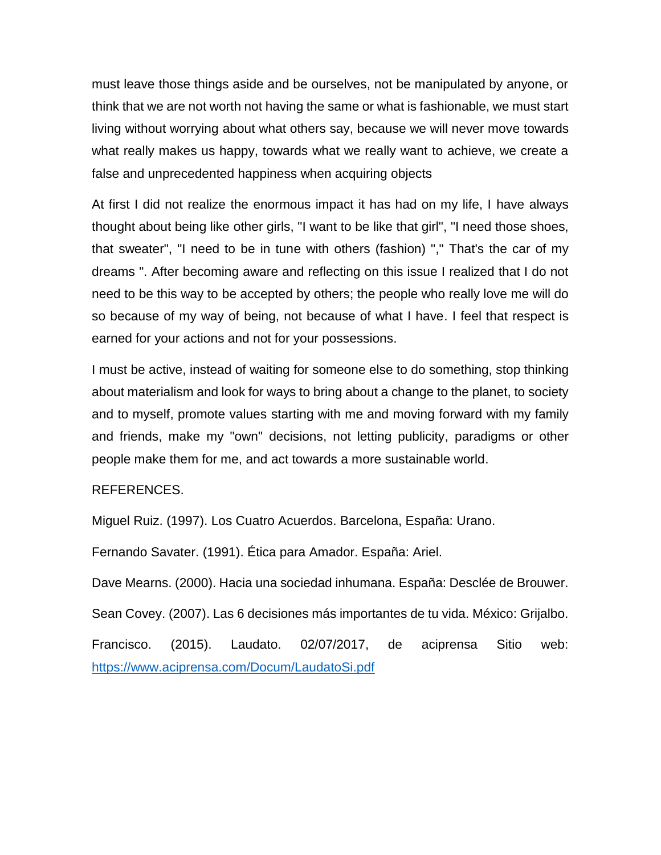must leave those things aside and be ourselves, not be manipulated by anyone, or think that we are not worth not having the same or what is fashionable, we must start living without worrying about what others say, because we will never move towards what really makes us happy, towards what we really want to achieve, we create a false and unprecedented happiness when acquiring objects

At first I did not realize the enormous impact it has had on my life, I have always thought about being like other girls, "I want to be like that girl", "I need those shoes, that sweater", "I need to be in tune with others (fashion) "," That's the car of my dreams ". After becoming aware and reflecting on this issue I realized that I do not need to be this way to be accepted by others; the people who really love me will do so because of my way of being, not because of what I have. I feel that respect is earned for your actions and not for your possessions.

I must be active, instead of waiting for someone else to do something, stop thinking about materialism and look for ways to bring about a change to the planet, to society and to myself, promote values starting with me and moving forward with my family and friends, make my "own" decisions, not letting publicity, paradigms or other people make them for me, and act towards a more sustainable world.

### REFERENCES.

Miguel Ruiz. (1997). Los Cuatro Acuerdos. Barcelona, España: Urano.

Fernando Savater. (1991). Ética para Amador. España: Ariel.

Dave Mearns. (2000). Hacia una sociedad inhumana. España: Desclée de Brouwer.

Sean Covey. (2007). Las 6 decisiones más importantes de tu vida. México: Grijalbo.

Francisco. (2015). Laudato. 02/07/2017, de aciprensa Sitio web: <https://www.aciprensa.com/Docum/LaudatoSi.pdf>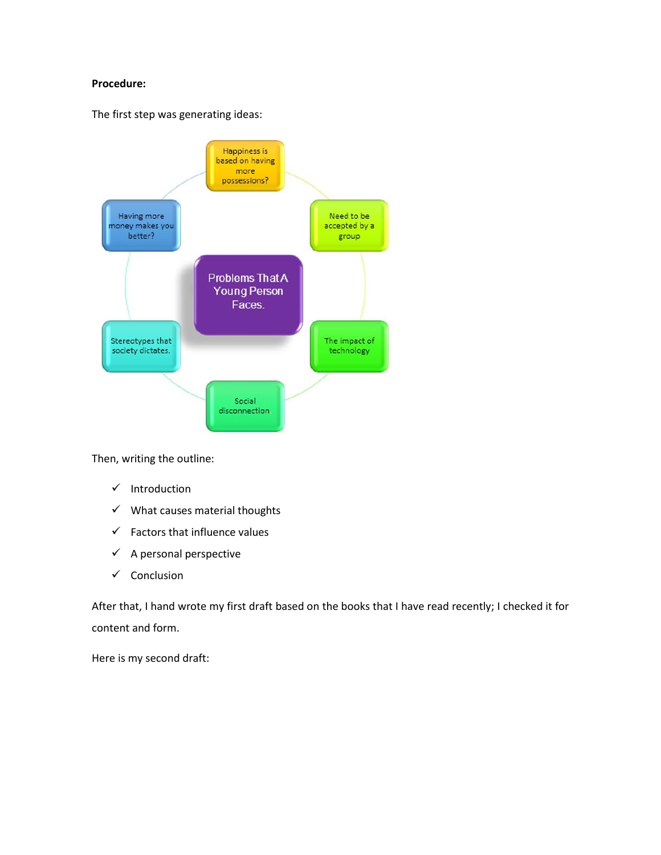#### **Procedure:**

The first step was generating ideas:



Then, writing the outline:

- $\checkmark$  Introduction
- $\checkmark$  What causes material thoughts
- $\checkmark$  Factors that influence values
- $\checkmark$  A personal perspective
- $\checkmark$  Conclusion

After that, I hand wrote my first draft based on the books that I have read recently; I checked it for content and form.

Here is my second draft: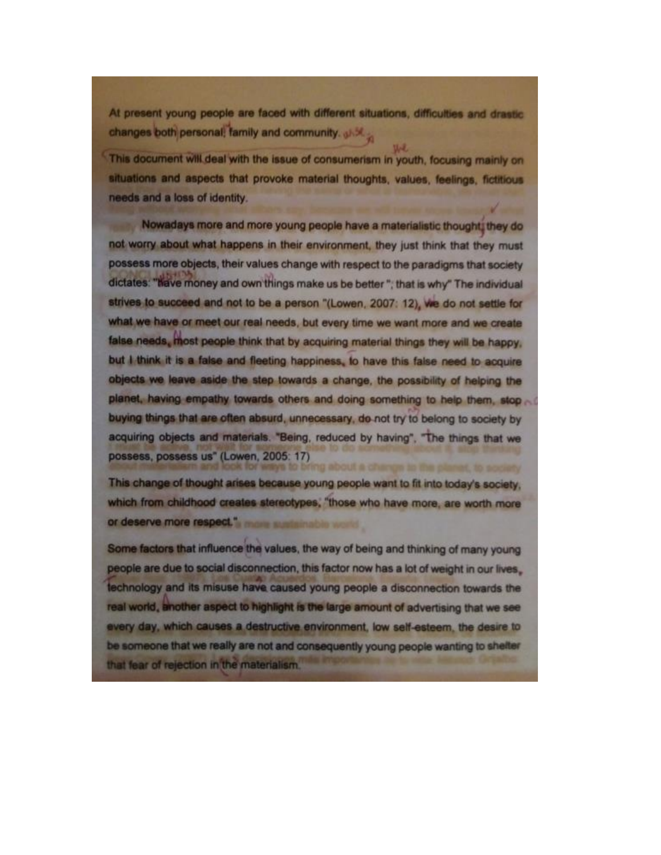At present young people are faced with different situations, difficulties and drastic changes both personal, family and community.

This document will deal with the issue of consumerism in youth, focusing mainly on situations and aspects that provoke material thoughts, values, feelings, fictitious needs and a loss of identity.

Nowadays more and more young people have a materialistic thought; they do not worry about what happens in their environment, they just think that they must possess more objects, their values change with respect to the paradigms that society dictates: "have money and own things make us be better"; that is why" The individual strives to succeed and not to be a person "(Lowen, 2007: 12), we do not settle for what we have or meet our real needs, but every time we want more and we create false needs, most people think that by acquiring material things they will be happy. but I think it is a false and fleeting happiness, to have this false need to acquire objects we leave aside the step towards a change, the possibility of helping the planet, having empathy towards others and doing something to help them, stop buying things that are often absurd, unnecessary, do not try to belong to society by acquiring objects and materials. "Being, reduced by having", "The things that we possess, possess us" (Lowen, 2005: 17) ways to bring about a change to the clares, to society

This change of thought arises because young people want to fit into today's society. which from childhood creates stereotypes, "those who have more, are worth more or deserve more respect." more sustainable world

Some factors that influence the values, the way of being and thinking of many young people are due to social disconnection, this factor now has a lot of weight in our lives. technology and its misuse have caused young people a disconnection towards the real world, another aspect to highlight is the large amount of advertising that we see every day, which causes a destructive environment, low self-esteem, the desire to be someone that we really are not and consequently young people wanting to shelter that fear of rejection in the materialism.